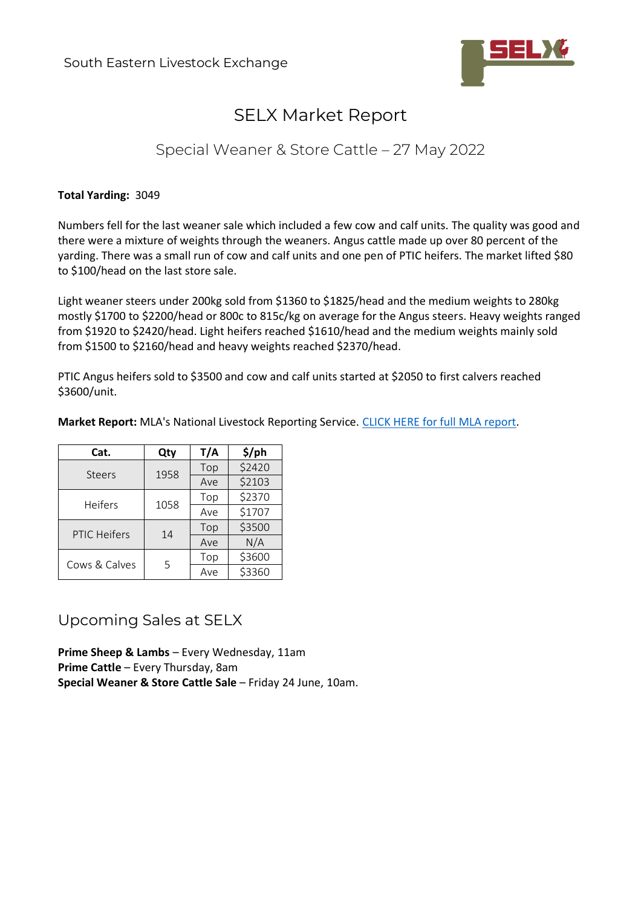

# SELX Market Report

## Special Weaner & Store Cattle – 27 May 2022

#### **Total Yarding:** 3049

Numbers fell for the last weaner sale which included a few cow and calf units. The quality was good and there were a mixture of weights through the weaners. Angus cattle made up over 80 percent of the yarding. There was a small run of cow and calf units and one pen of PTIC heifers. The market lifted \$80 to \$100/head on the last store sale.

Light weaner steers under 200kg sold from \$1360 to \$1825/head and the medium weights to 280kg mostly \$1700 to \$2200/head or 800c to 815c/kg on average for the Angus steers. Heavy weights ranged from \$1920 to \$2420/head. Light heifers reached \$1610/head and the medium weights mainly sold from \$1500 to \$2160/head and heavy weights reached \$2370/head.

PTIC Angus heifers sold to \$3500 and cow and calf units started at \$2050 to first calvers reached \$3600/unit.

| Market Report: MLA's National Livestock Reporting Service. CLICK HERE for full MLA report. |  |  |  |  |  |
|--------------------------------------------------------------------------------------------|--|--|--|--|--|
|--------------------------------------------------------------------------------------------|--|--|--|--|--|

| Cat.                | Qty  | T/A | \$/ph  |
|---------------------|------|-----|--------|
| <b>Steers</b>       | 1958 | Top | \$2420 |
|                     |      | Ave | \$2103 |
| <b>Heifers</b>      | 1058 | Top | \$2370 |
|                     |      | Ave | \$1707 |
| <b>PTIC Heifers</b> | 14   | Top | \$3500 |
|                     |      | Ave | N/A    |
| Cows & Calves       | 5    | Top | \$3600 |
|                     |      | Ave | \$3360 |

### Upcoming Sales at SELX

**Prime Sheep & Lambs** – Every Wednesday, 11am **Prime Cattle** – Every Thursday, 8am **Special Weaner & Store Cattle Sale** – Friday 24 June, 10am.